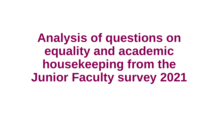**Analysis of questions on equality and academic housekeeping from the Junior Faculty survey 2021**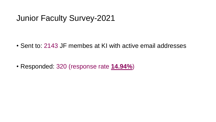# Junior Faculty Survey-2021

• Sent to: 2143 JF membes at KI with active email addresses

• Responded: 320 (response rate **14.94%**)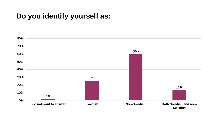# **Do you identify yourself as:**

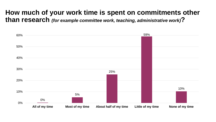#### **How much of your work time is spent on commitments other than research** *(for example committee work, teaching, administrative work)***?**

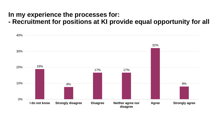#### **In my experience the processes for: - Recruitment for positions at KI provide equal opportunity for all**

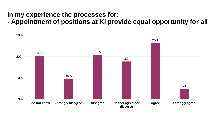#### **In my experience the processes for: - Appointment of positions at KI provide equal opportunity for all**

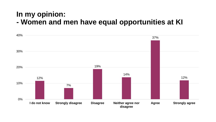## **In my opinion: - Women and men have equal opportunities at KI**

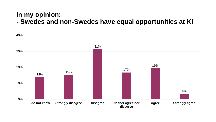#### **In my opinion: - Swedes and non-Swedes have equal opportunities at KI**

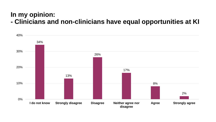#### **In my opinion: - Clinicians and non-clinicians have equal opportunities at KI**

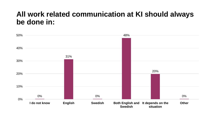### **All work related communication at KI should always be done in:**

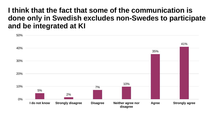## **I think that the fact that some of the communication is done only in Swedish excludes non-Swedes to participate and be integrated at KI**

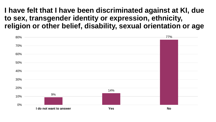## **I have felt that I have been discriminated against at KI, due to sex, transgender identity or expression, ethnicity, religion or other belief, disability, sexual orientation or age**

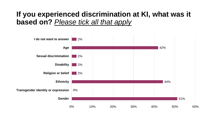## **If you experienced discrimination at KI, what was it based on?** *Please tick all that apply*

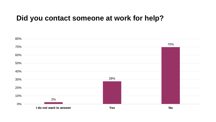### **Did you contact someone at work for help?**

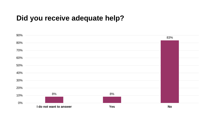## **Did you receive adequate help?**

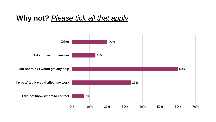## **Why not?** *Please tick all that apply*

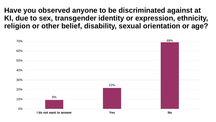## **Have you observed anyone to be discriminated against at KI, due to sex, transgender identity or expression, ethnicity, religion or other belief, disability, sexual orientation or age?**

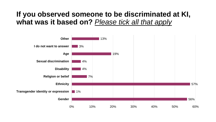## **If you observed someone to be discriminated at KI, what was it based on?** *Please tick all that apply*

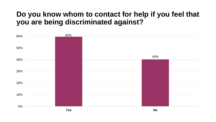## **Do you know whom to contact for help if you feel that you are being discriminated against?**

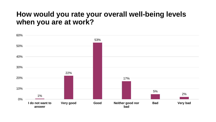## **How would you rate your overall well-being levels when you are at work?**

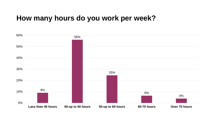### **How many hours do you work per week?**

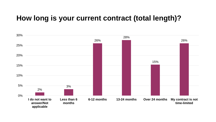## **How long is your current contract (total length)?**

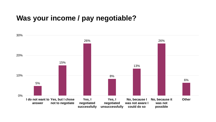## **Was your income / pay negotiable?**

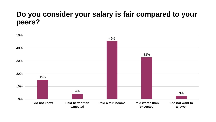## **Do you consider your salary is fair compared to your peers?**

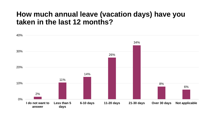### **How much annual leave (vacation days) have you taken in the last 12 months?**